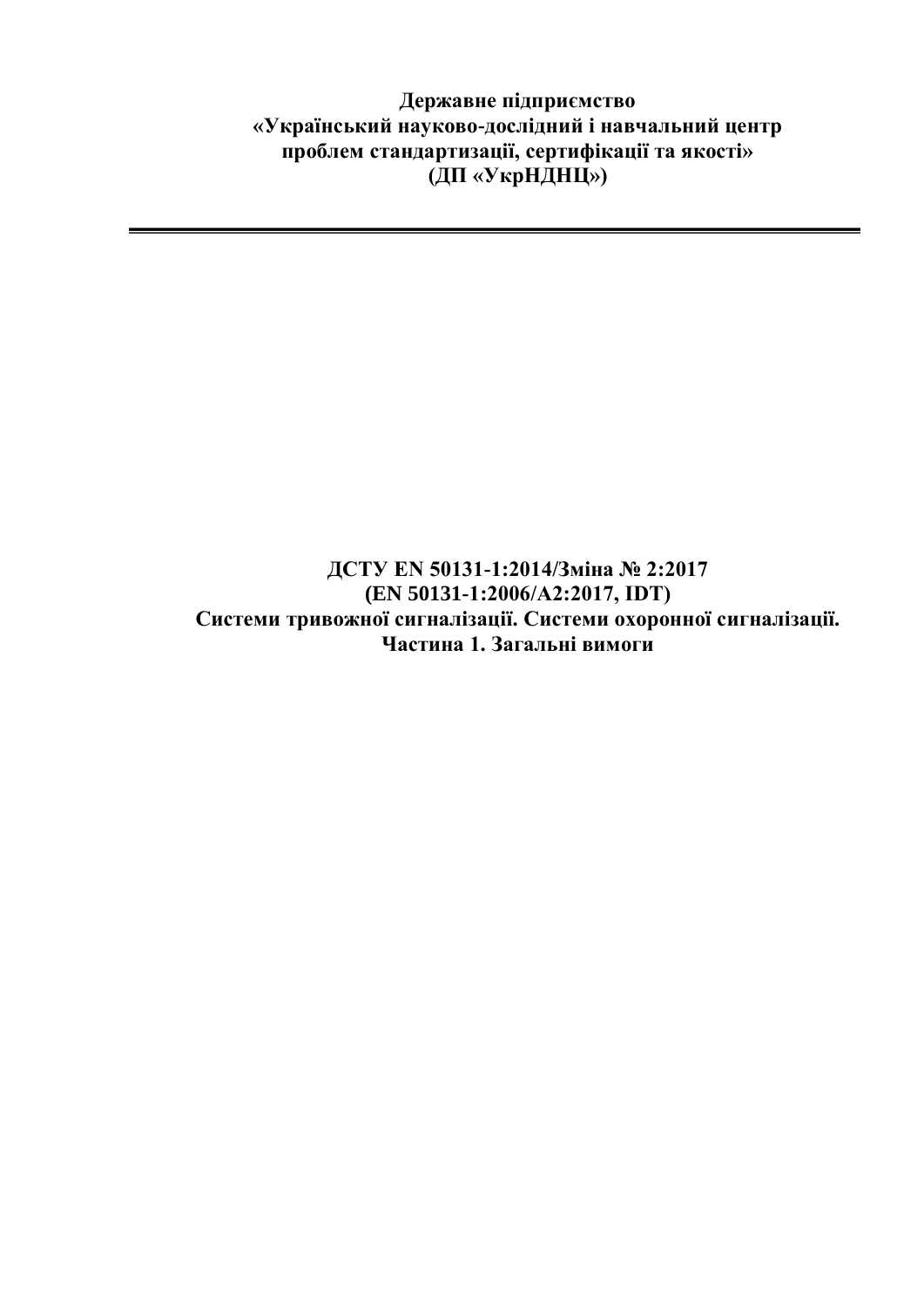**Державне підприємство «Український науково-дослідний і навчальний центр проблем стандартизації, сертифікації та якості» (ДП «УкрНДНЦ»)**

**ДСТУ EN 50131-1:2014/Зміна № 2:2017 (EN 50131-1:2006/А2:2017, IDT) Системи тривожної сигналізації. Системи охоронної сигналізації. Частина 1. Загальні вимоги**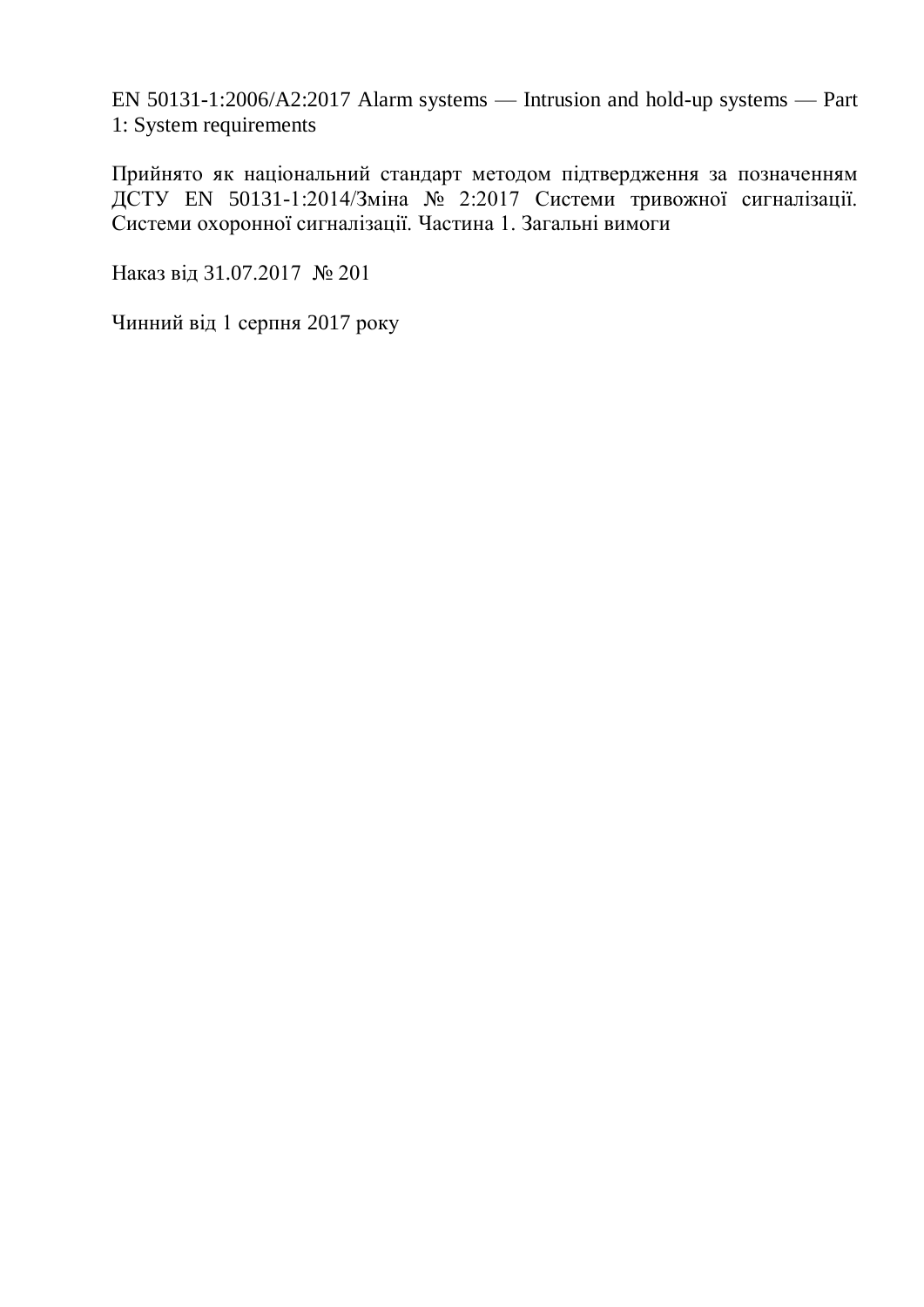EN 50131-1:2006/A2:2017 Alarm systems — Intrusion and hold-up systems — Part 1: System requirements

Прийнято як національний стандарт методом підтвердження за позначенням ДСТУ EN 50131-1:2014/Зміна № 2:2017 Системи тривожної сигналізації. Системи охоронної сигналізації. Частина 1. Загальні вимоги

Наказ від 31.07.2017 № 201

Чинний від 1 серпня 2017 року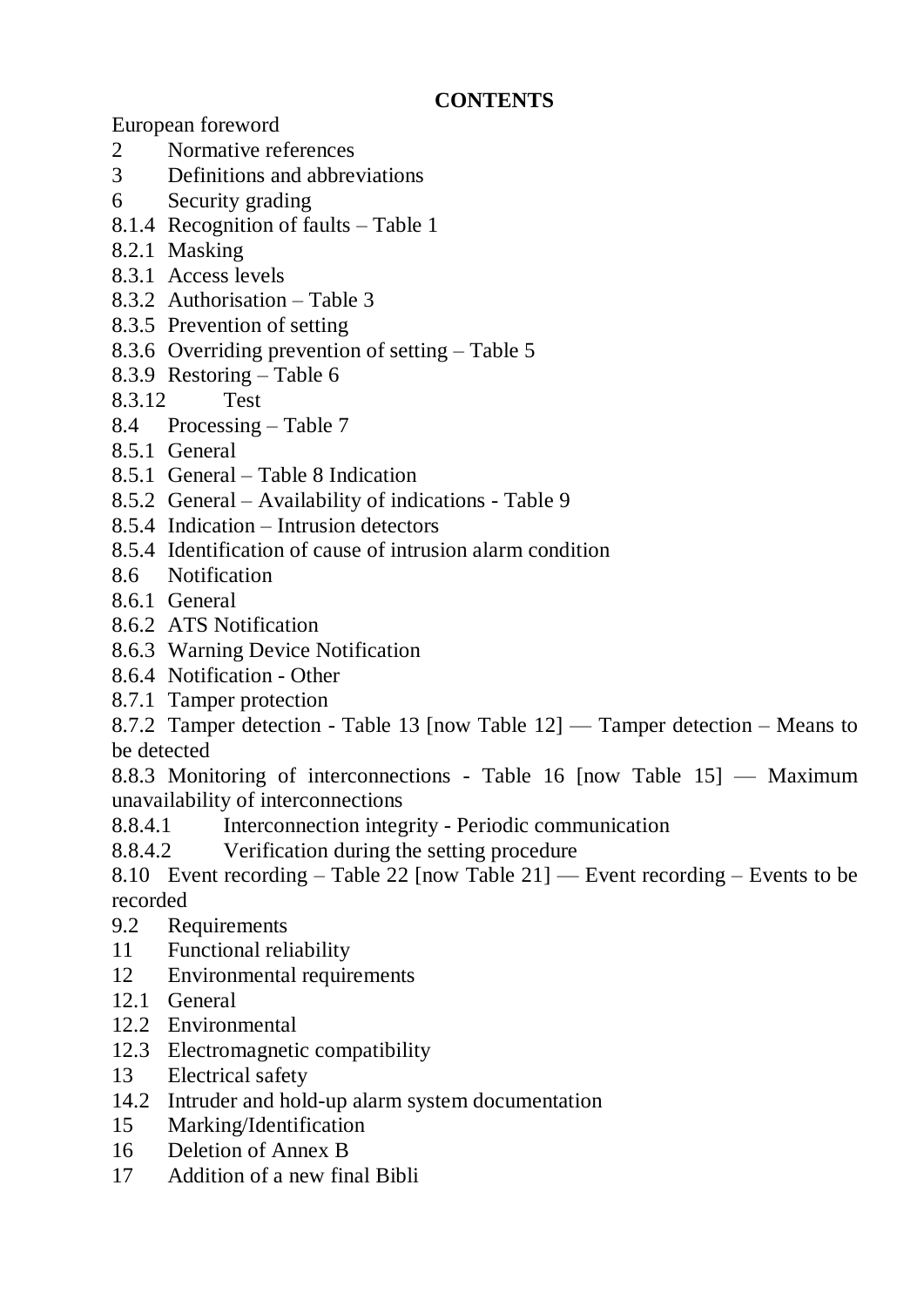## **CONTENTS**

European foreword

- 2 Normative references
- 3 Definitions and abbreviations
- 6 Security grading
- 8.1.4 Recognition of faults Table 1
- 8.2.1 Masking
- 8.3.1 Access levels
- 8.3.2 Authorisation Table 3
- 8.3.5 Prevention of setting
- 8.3.6 Overriding prevention of setting Table 5
- 8.3.9 Restoring Table 6
- 8.3.12 Test
- 8.4 Processing Table 7
- 8.5.1 General
- 8.5.1 General Table 8 Indication
- 8.5.2 General Availability of indications Table 9
- 8.5.4 Indication Intrusion detectors
- 8.5.4 Identification of cause of intrusion alarm condition
- 8.6 Notification
- 8.6.1 General
- 8.6.2 ATS Notification
- 8.6.3 Warning Device Notification
- 8.6.4 Notification Other
- 8.7.1 Tamper protection

8.7.2 Tamper detection - Table 13 [now Table 12] — Tamper detection – Means to be detected

8.8.3 Monitoring of interconnections - Table 16 [now Table 15] — Maximum unavailability of interconnections

- 8.8.4.1 Interconnection integrity Periodic communication
- 8.8.4.2 Verification during the setting procedure

8.10 Event recording – Table 22 [now Table 21] — Event recording – Events to be recorded

- 9.2 Requirements
- 11 Functional reliability
- 12 Environmental requirements
- 12.1 General
- 12.2 Environmental
- 12.3 Electromagnetic compatibility
- 13 Electrical safety
- 14.2 Intruder and hold-up alarm system documentation
- 15 Marking/Identification
- 16 Deletion of Annex B
- 17 Addition of a new final Bibli